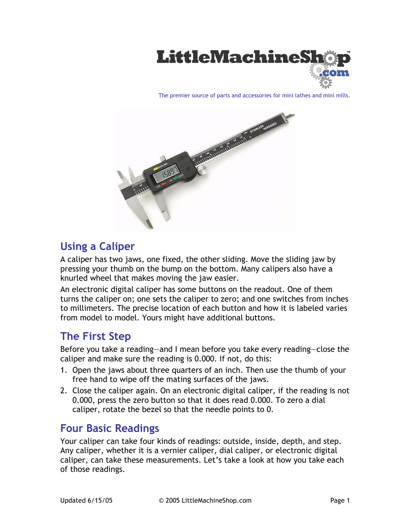

The premier source of parts and accessories for mini lathes and mini mills.



# **Using a Caliper**

A caliper has two jaws, one fixed, the other sliding. Move the sliding jaw by pressing your thumb on the bump on the bottom. Many calipers also have a knurled wheel that makes moving the jaw easier.

An electronic digital caliper has some buttons on the readout. One of them turns the caliper on; one sets the caliper to zero; and one switches from inches to millimeters. The precise location of each button and how it is labeled varies from model to model. Yours might have additional buttons.

# **The First Step**

Before you take a reading—and I mean before you take every reading—close the caliper and make sure the reading is 0.000. If not, do this:

- 1. Open the jaws about three quarters of an inch. Then use the thumb of your free hand to wipe off the mating surfaces of the jaws.
- 2. Close the caliper again. On an electronic digital caliper, if the reading is not 0.000, press the zero button so that it does read 0.000. To zero a dial caliper, rotate the bezel so that the needle points to 0.

## **Four Basic Readings**

Your caliper can take four kinds of readings: outside, inside, depth, and step. Any caliper, whether it is a vernier caliper, dial caliper, or electronic digital caliper, can take these measurements. Let's take a look at how you take each of those readings.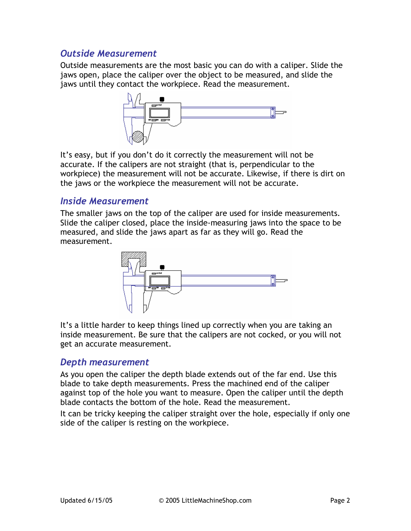### *Outside Measurement*

Outside measurements are the most basic you can do with a caliper. Slide the jaws open, place the caliper over the object to be measured, and slide the jaws until they contact the workpiece. Read the measurement.



It's easy, but if you don't do it correctly the measurement will not be accurate. If the calipers are not straight (that is, perpendicular to the workpiece) the measurement will not be accurate. Likewise, if there is dirt on the jaws or the workpiece the measurement will not be accurate.

#### *Inside Measurement*

The smaller jaws on the top of the caliper are used for inside measurements. Slide the caliper closed, place the inside-measuring jaws into the space to be measured, and slide the jaws apart as far as they will go. Read the measurement.



It's a little harder to keep things lined up correctly when you are taking an inside measurement. Be sure that the calipers are not cocked, or you will not get an accurate measurement.

### *Depth measurement*

As you open the caliper the depth blade extends out of the far end. Use this blade to take depth measurements. Press the machined end of the caliper against top of the hole you want to measure. Open the caliper until the depth blade contacts the bottom of the hole. Read the measurement.

It can be tricky keeping the caliper straight over the hole, especially if only one side of the caliper is resting on the workpiece.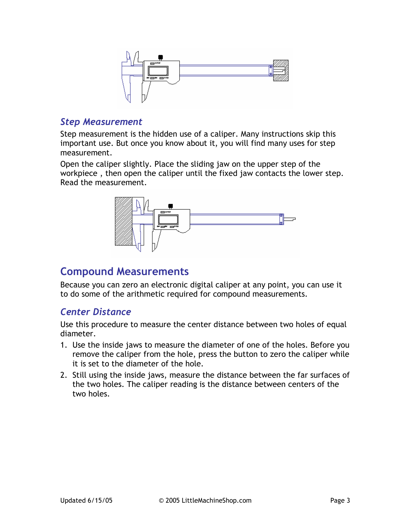

#### *Step Measurement*

Step measurement is the hidden use of a caliper. Many instructions skip this important use. But once you know about it, you will find many uses for step measurement.

Open the caliper slightly. Place the sliding jaw on the upper step of the workpiece , then open the caliper until the fixed jaw contacts the lower step. Read the measurement.



# **Compound Measurements**

Because you can zero an electronic digital caliper at any point, you can use it to do some of the arithmetic required for compound measurements.

### *Center Distance*

Use this procedure to measure the center distance between two holes of equal diameter.

- 1. Use the inside jaws to measure the diameter of one of the holes. Before you remove the caliper from the hole, press the button to zero the caliper while it is set to the diameter of the hole.
- 2. Still using the inside jaws, measure the distance between the far surfaces of the two holes. The caliper reading is the distance between centers of the two holes.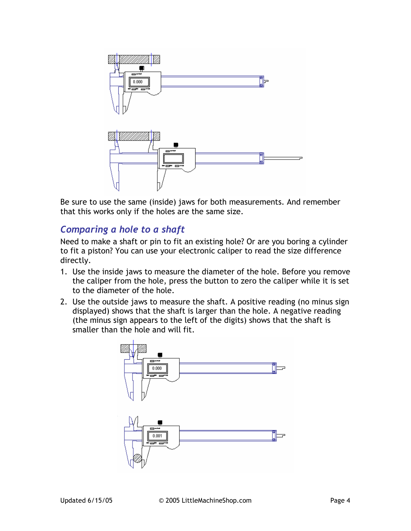

Be sure to use the same (inside) jaws for both measurements. And remember that this works only if the holes are the same size.

### *Comparing a hole to a shaft*

Need to make a shaft or pin to fit an existing hole? Or are you boring a cylinder to fit a piston? You can use your electronic caliper to read the size difference directly.

- 1. Use the inside jaws to measure the diameter of the hole. Before you remove the caliper from the hole, press the button to zero the caliper while it is set to the diameter of the hole.
- 2. Use the outside jaws to measure the shaft. A positive reading (no minus sign displayed) shows that the shaft is larger than the hole. A negative reading (the minus sign appears to the left of the digits) shows that the shaft is smaller than the hole and will fit.